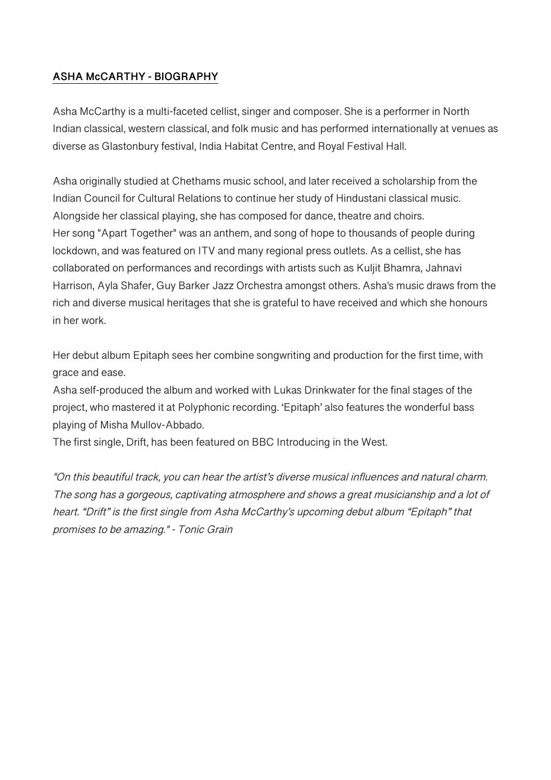## **ASHA McCARTHY - BIOGRAPHY**

Asha McCarthy is a multi-faceted cellist, singer and composer. She is a performer in North Indian classical, western classical, and folk music and has performed internationally at venues as diverse as Glastonbury festival, India Habitat Centre, and Royal Festival Hall.

Asha originally studied at Chethams music school, and later received a scholarship from the Indian Council for Cultural Relations to continue her study of Hindustani classical music. Alongside her classical playing, she has composed for dance, theatre and choirs. Her song "Apart Together" was an anthem, and song of hope to thousands of people during lockdown, and was featured on ITV and many regional press outlets. As a cellist, she has collaborated on performances and recordings with artists such as Kuljit Bhamra, Jahnavi Harrison, Ayla Shafer, Guy Barker Jazz Orchestra amongst others. Asha's music draws from the rich and diverse musical heritages that she is grateful to have received and which she honours in her work.

Her debut album Epitaph sees her combine songwriting and production for the first time, with grace and ease.

Asha self-produced the album and worked with Lukas Drinkwater for the final stages of the project, who mastered it at Polyphonic recording. 'Epitaph' also features the wonderful bass playing of Misha Mullov-Abbado.

The first single, Drift, has been featured on BBC Introducing in the West.

"On this beautiful track, you can hear the artist's diverse musical influences and natural charm. The song has a gorgeous, captivating atmosphere and shows a great musicianship and a lot of heart. "Drift" is the first single from Asha McCarthy's upcoming debut album "Epitaph" that promises to be amazing." - Tonic Grain